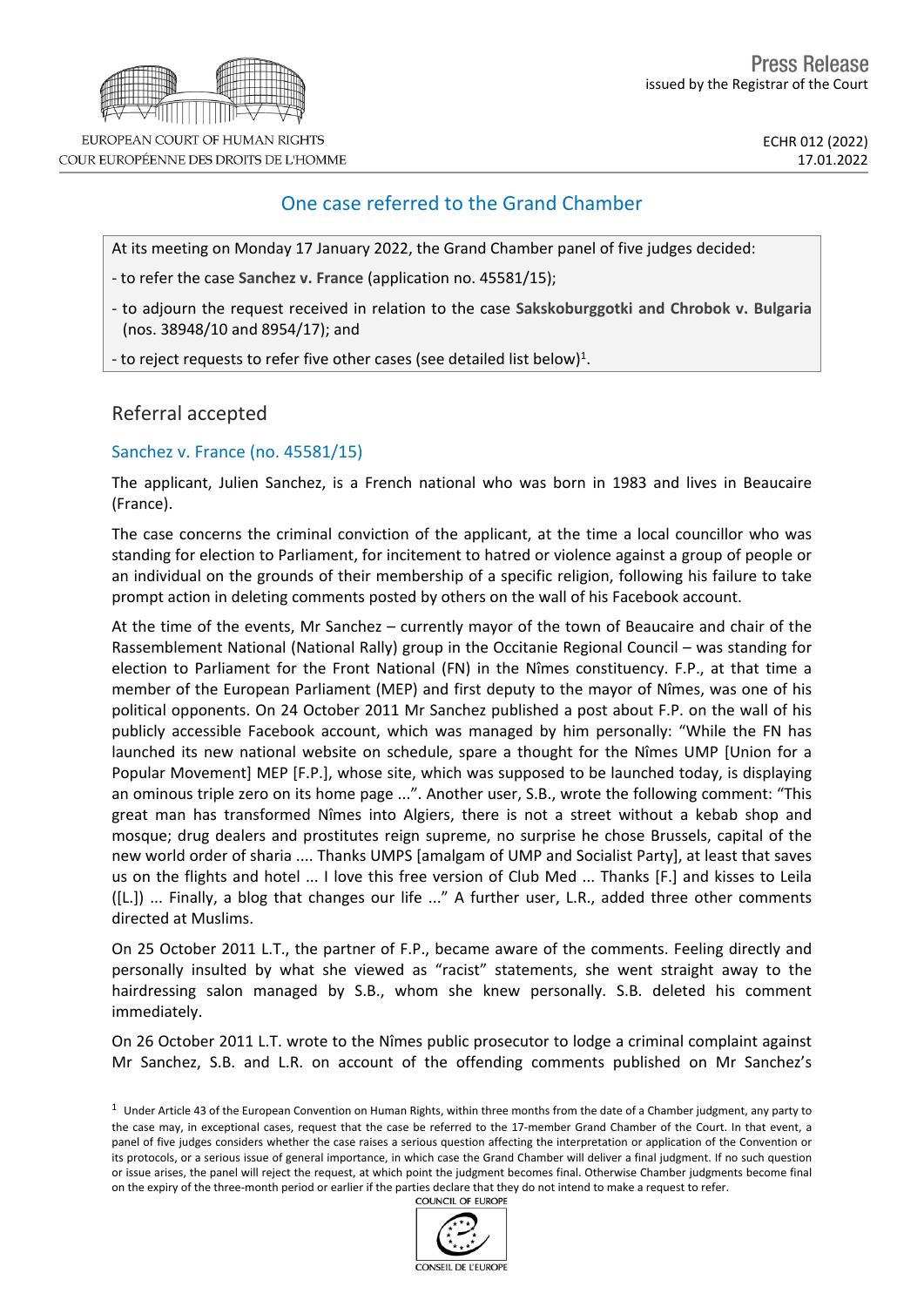

EUROPEAN COURT OF HUMAN RIGHTS COUR EUROPÉENNE DES DROITS DE L'HOMME

## One case referred to the Grand Chamber

At its meeting on Monday 17 January 2022, the Grand Chamber panel of five judges decided:

- to refer the case **Sanchez v. France** (application no. 45581/15);

- to adjourn the request received in relation to the case **Sakskoburggotki and Chrobok v. Bulgaria** (nos. 38948/10 and 8954/17); and

- to reject requests to refer five other cases (see detailed list below)<sup>1</sup>.

## Referral accepted

## Sanchez v. France (no. 45581/15)

The applicant, Julien Sanchez, is a French national who was born in 1983 and lives in Beaucaire (France).

The case concerns the criminal conviction of the applicant, at the time a local councillor who was standing for election to Parliament, for incitement to hatred or violence against a group of people or an individual on the grounds of their membership of a specific religion, following his failure to take prompt action in deleting comments posted by others on the wall of his Facebook account.

At the time of the events, Mr Sanchez – currently mayor of the town of Beaucaire and chair of the Rassemblement National (National Rally) group in the Occitanie Regional Council – was standing for election to Parliament for the Front National (FN) in the Nîmes constituency. F.P., at that time a member of the European Parliament (MEP) and first deputy to the mayor of Nîmes, was one of his political opponents. On 24 October 2011 Mr Sanchez published a post about F.P. on the wall of his publicly accessible Facebook account, which was managed by him personally: "While the FN has launched its new national website on schedule, spare a thought for the Nîmes UMP [Union for a Popular Movement] MEP [F.P.], whose site, which was supposed to be launched today, is displaying an ominous triple zero on its home page ...". Another user, S.B., wrote the following comment: "This great man has transformed Nîmes into Algiers, there is not a street without a kebab shop and mosque; drug dealers and prostitutes reign supreme, no surprise he chose Brussels, capital of the new world order of sharia .... Thanks UMPS [amalgam of UMP and Socialist Party], at least that saves us on the flights and hotel ... I love this free version of Club Med ... Thanks [F.] and kisses to Leila ([L.]) ... Finally, a blog that changes our life ..." A further user, L.R., added three other comments directed at Muslims.

On 25 October 2011 L.T., the partner of F.P., became aware of the comments. Feeling directly and personally insulted by what she viewed as "racist" statements, she went straight away to the hairdressing salon managed by S.B., whom she knew personally. S.B. deleted his comment immediately.

On 26 October 2011 L.T. wrote to the Nîmes public prosecutor to lodge a criminal complaint against Mr Sanchez, S.B. and L.R. on account of the offending comments published on Mr Sanchez's

 $1$  Under Article 43 of the European Convention on Human Rights, within three months from the date of a Chamber judgment, any party to the case may, in exceptional cases, request that the case be referred to the 17-member Grand Chamber of the Court. In that event, a panel of five judges considers whether the case raises a serious question affecting the interpretation or application of the Convention or its protocols, or a serious issue of general importance, in which case the Grand Chamber will deliver a final judgment. If no such question or issue arises, the panel will reject the request, at which point the judgment becomes final. Otherwise Chamber judgments become final on the expiry of the three-month period or earlier if the parties declare that they do not intend to make a request to refer.

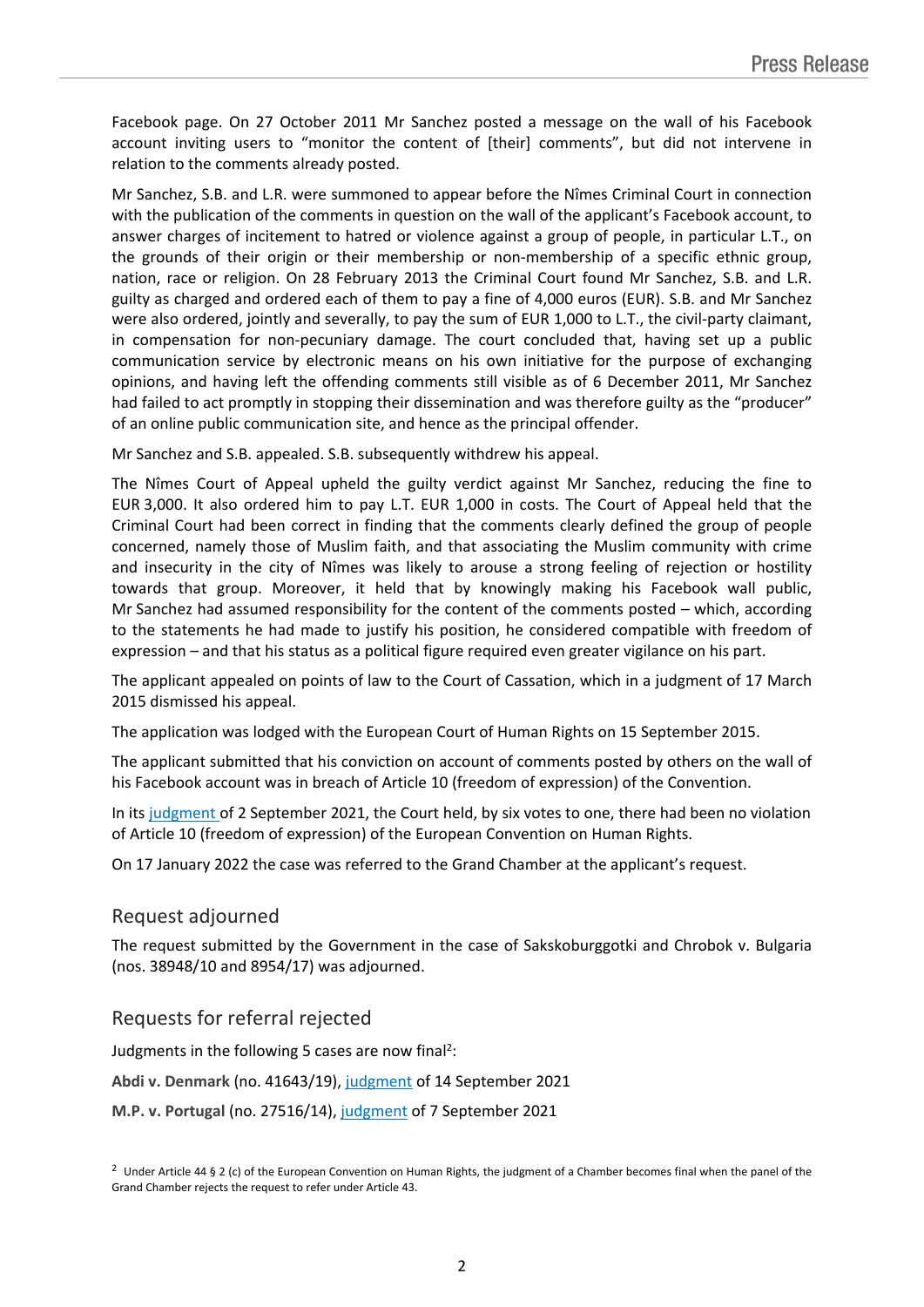Facebook page. On 27 October 2011 Mr Sanchez posted a message on the wall of his Facebook account inviting users to "monitor the content of [their] comments", but did not intervene in relation to the comments already posted.

Mr Sanchez, S.B. and L.R. were summoned to appear before the Nîmes Criminal Court in connection with the publication of the comments in question on the wall of the applicant's Facebook account, to answer charges of incitement to hatred or violence against a group of people, in particular L.T., on the grounds of their origin or their membership or non-membership of a specific ethnic group, nation, race or religion. On 28 February 2013 the Criminal Court found Mr Sanchez, S.B. and L.R. guilty as charged and ordered each of them to pay a fine of 4,000 euros (EUR). S.B. and Mr Sanchez were also ordered, jointly and severally, to pay the sum of EUR 1,000 to L.T., the civil-party claimant, in compensation for non-pecuniary damage. The court concluded that, having set up a public communication service by electronic means on his own initiative for the purpose of exchanging opinions, and having left the offending comments still visible as of 6 December 2011, Mr Sanchez had failed to act promptly in stopping their dissemination and was therefore guilty as the "producer" of an online public communication site, and hence as the principal offender.

Mr Sanchez and S.B. appealed. S.B. subsequently withdrew his appeal.

The Nîmes Court of Appeal upheld the guilty verdict against Mr Sanchez, reducing the fine to EUR 3,000. It also ordered him to pay L.T. EUR 1,000 in costs. The Court of Appeal held that the Criminal Court had been correct in finding that the comments clearly defined the group of people concerned, namely those of Muslim faith, and that associating the Muslim community with crime and insecurity in the city of Nîmes was likely to arouse a strong feeling of rejection or hostility towards that group. Moreover, it held that by knowingly making his Facebook wall public, Mr Sanchez had assumed responsibility for the content of the comments posted – which, according to the statements he had made to justify his position, he considered compatible with freedom of expression – and that his status as a political figure required even greater vigilance on his part.

The applicant appealed on points of law to the Court of Cassation, which in a judgment of 17 March 2015 dismissed his appeal.

The application was lodged with the European Court of Human Rights on 15 September 2015.

The applicant submitted that his conviction on account of comments posted by others on the wall of his Facebook account was in breach of Article 10 (freedom of expression) of the Convention.

In its [judgment](https://hudoc.echr.coe.int/eng-press?i=003-7106075-9621510) of 2 September 2021, the Court held, by six votes to one, there had been no violation of Article 10 (freedom of expression) of the European Convention on Human Rights.

On 17 January 2022 the case was referred to the Grand Chamber at the applicant's request.

## Request adjourned

The request submitted by the Government in the case of Sakskoburggotki and Chrobok v. Bulgaria (nos. 38948/10 and 8954/17) was adjourned.

Requests for referral rejected

Judgments in the following 5 cases are now final<sup>2</sup>:

**Abdi v. Denmark** (no. 41643/19), [judgment](https://hudoc.echr.coe.int/eng?i=001-211795) of 14 September 2021

**M.P. v. Portugal** (no. 27516/14), [judgment](https://hudoc.echr.coe.int/eng-press?i=003-7110981-9629342) of 7 September 2021

<sup>2</sup> Under Article 44 § 2 (c) of the European Convention on Human Rights, the judgment of a Chamber becomes final when the panel of the Grand Chamber rejects the request to refer under Article 43.